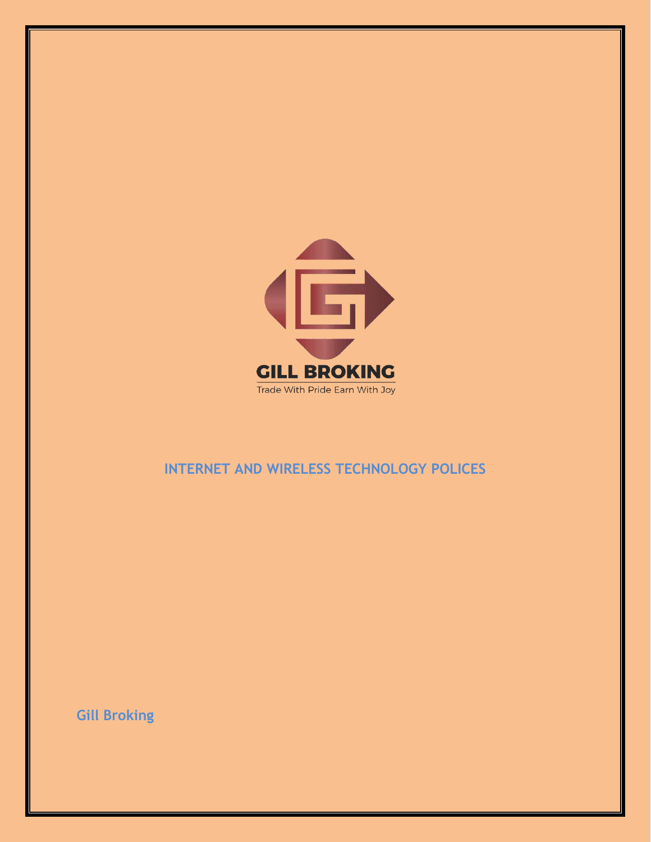

## **INTERNET AND WIRELESS TECHNOLOGY POLICES**

**Gill Broking**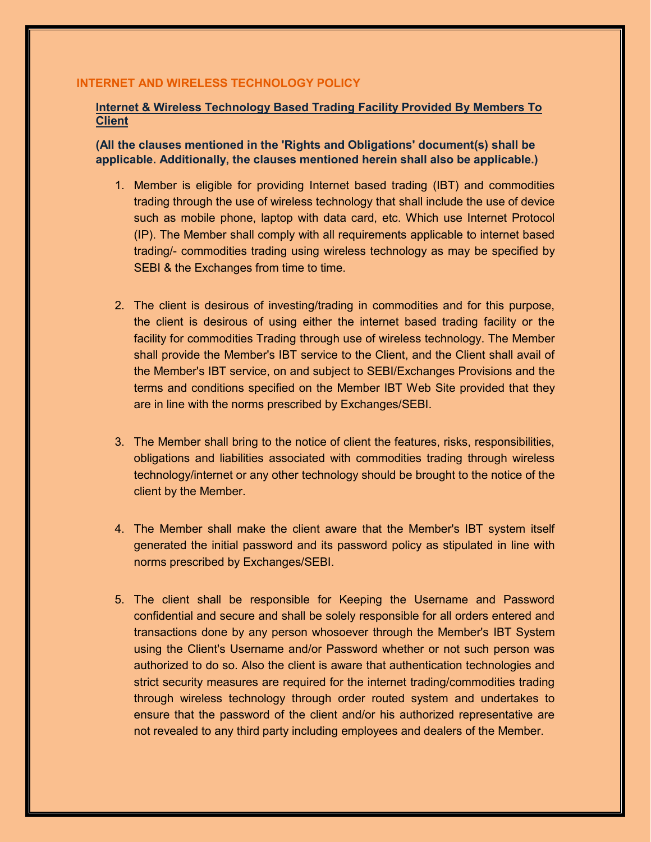## **INTERNET AND WIRELESS TECHNOLOGY POLICY**

## Internet & Wireless Technology Based Trading Facility Provided By Members To **Client**

(All the clauses mentioned in the 'Rights and Obligations' document(s) shall be applicable. Additionally, the clauses mentioned herein shall also be applicable.)

- 1. Member is eligible for providing Internet based trading (IBT) and commodities trading through the use of wireless technology that shall include the use of device such as mobile phone, laptop with data card, etc. Which use Internet Protocol (IP). The Member shall comply with all requirements applicable to internet based trading/- commodities trading using wireless technology as may be specified by SEBI & the Exchanges from time to time.
- 2. The client is desirous of investing/trading in commodities and for this purpose, the client is desirous of using either the internet based trading facility or the facility for commodities Trading through use of wireless technology. The Member shall provide the Member's IBT service to the Client, and the Client shall avail of the Member's IBT service, on and subject to SEBI/Exchanges Provisions and the terms and conditions specified on the Member IBT Web Site provided that they are in line with the norms prescribed by Exchanges/SEBI.
- 3. The Member shall bring to the notice of client the features, risks, responsibilities, obligations and liabilities associated with commodities trading through wireless technology/internet or any other technology should be brought to the notice of the client by the Member.
- 4. The Member shall make the client aware that the Member's IBT system itself generated the initial password and its password policy as stipulated in line with norms prescribed by Exchanges/SEBI.
- 5. The client shall be responsible for Keeping the Username and Password confidential and secure and shall be solely responsible for all orders entered and transactions done by any person whosoever through the Member's IBT System using the Client's Username and/or Password whether or not such person was authorized to do so. Also the client is aware that authentication technologies and strict security measures are required for the internet trading/commodities trading through wireless technology through order routed system and undertakes to ensure that the password of the client and/or his authorized representative are not revealed to any third party including employees and dealers of the Member.